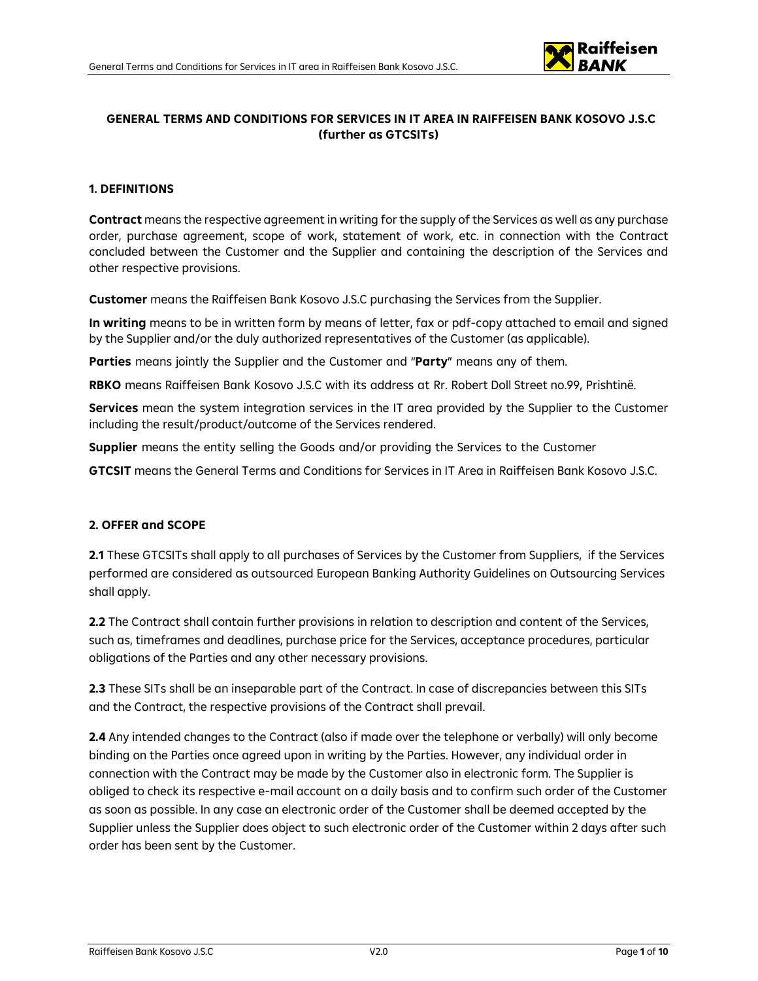

## **GENERAL TERMS AND CONDITIONS FOR SERVICES IN IT AREA IN RAIFFEISEN BANK KOSOVO J.S.C (further as GTCSITs)**

### **1. DEFINITIONS**

**Contract** means the respective agreement in writing for the supply of the Services as well as any purchase order, purchase agreement, scope of work, statement of work, etc. in connection with the Contract concluded between the Customer and the Supplier and containing the description of the Services and other respective provisions.

**Customer** means the Raiffeisen Bank Kosovo J.S.C purchasing the Services from the Supplier.

**In writing** means to be in written form by means of letter, fax or pdf-copy attached to email and signed by the Supplier and/or the duly authorized representatives of the Customer (as applicable).

**Parties** means jointly the Supplier and the Customer and "**Party**" means any of them.

**RBKO** means Raiffeisen Bank Kosovo J.S.C with its address at Rr. Robert Doll Street no.99, Prishtinë.

**Services** mean the system integration services in the IT area provided by the Supplier to the Customer including the result/product/outcome of the Services rendered.

**Supplier** means the entity selling the Goods and/or providing the Services to the Customer

**GTCSIT** means the General Terms and Conditions for Services in IT Area in Raiffeisen Bank Kosovo J.S.C.

## **2. OFFER and SCOPE**

**2.1** These GTCSITs shall apply to all purchases of Services by the Customer from Suppliers, if the Services performed are considered as outsourced European Banking Authority Guidelines on Outsourcing Services shall apply.

**2.2** The Contract shall contain further provisions in relation to description and content of the Services, such as, timeframes and deadlines, purchase price for the Services, acceptance procedures, particular obligations of the Parties and any other necessary provisions.

**2.3** These SITs shall be an inseparable part of the Contract. In case of discrepancies between this SITs and the Contract, the respective provisions of the Contract shall prevail.

**2.4** Any intended changes to the Contract (also if made over the telephone or verbally) will only become binding on the Parties once agreed upon in writing by the Parties. However, any individual order in connection with the Contract may be made by the Customer also in electronic form. The Supplier is obliged to check its respective e-mail account on a daily basis and to confirm such order of the Customer as soon as possible. In any case an electronic order of the Customer shall be deemed accepted by the Supplier unless the Supplier does object to such electronic order of the Customer within 2 days after such order has been sent by the Customer.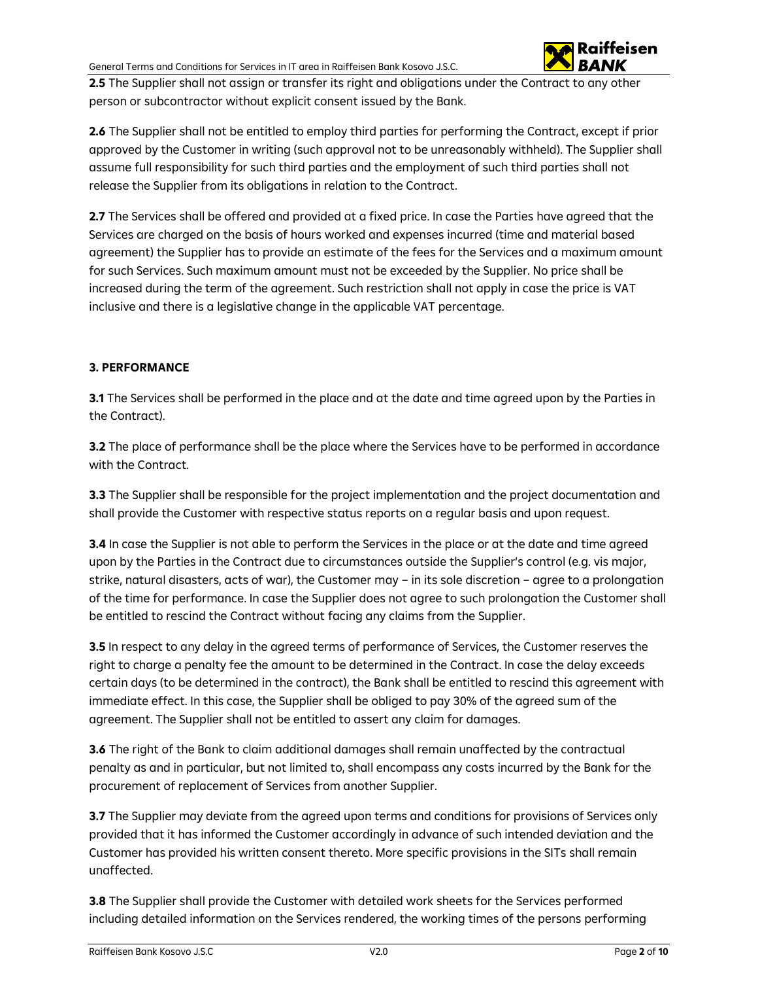

**2.5** The Supplier shall not assign or transfer its right and obligations under the Contract to any other person or subcontractor without explicit consent issued by the Bank.

**2.6** The Supplier shall not be entitled to employ third parties for performing the Contract, except if prior approved by the Customer in writing (such approval not to be unreasonably withheld). The Supplier shall assume full responsibility for such third parties and the employment of such third parties shall not release the Supplier from its obligations in relation to the Contract.

**2.7** The Services shall be offered and provided at a fixed price. In case the Parties have agreed that the Services are charged on the basis of hours worked and expenses incurred (time and material based agreement) the Supplier has to provide an estimate of the fees for the Services and a maximum amount for such Services. Such maximum amount must not be exceeded by the Supplier. No price shall be increased during the term of the agreement. Such restriction shall not apply in case the price is VAT inclusive and there is a legislative change in the applicable VAT percentage.

## **3. PERFORMANCE**

**3.1** The Services shall be performed in the place and at the date and time agreed upon by the Parties in the Contract).

**3.2** The place of performance shall be the place where the Services have to be performed in accordance with the Contract.

**3.3** The Supplier shall be responsible for the project implementation and the project documentation and shall provide the Customer with respective status reports on a regular basis and upon request.

**3.4** In case the Supplier is not able to perform the Services in the place or at the date and time agreed upon by the Parties in the Contract due to circumstances outside the Supplier's control (e.g. vis major, strike, natural disasters, acts of war), the Customer may – in its sole discretion – agree to a prolongation of the time for performance. In case the Supplier does not agree to such prolongation the Customer shall be entitled to rescind the Contract without facing any claims from the Supplier.

**3.5** In respect to any delay in the agreed terms of performance of Services, the Customer reserves the right to charge a penalty fee the amount to be determined in the Contract. In case the delay exceeds certain days (to be determined in the contract), the Bank shall be entitled to rescind this agreement with immediate effect. In this case, the Supplier shall be obliged to pay 30% of the agreed sum of the agreement. The Supplier shall not be entitled to assert any claim for damages.

**3.6** The right of the Bank to claim additional damages shall remain unaffected by the contractual penalty as and in particular, but not limited to, shall encompass any costs incurred by the Bank for the procurement of replacement of Services from another Supplier.

**3.7** The Supplier may deviate from the agreed upon terms and conditions for provisions of Services only provided that it has informed the Customer accordingly in advance of such intended deviation and the Customer has provided his written consent thereto. More specific provisions in the SITs shall remain unaffected.

**3.8** The Supplier shall provide the Customer with detailed work sheets for the Services performed including detailed information on the Services rendered, the working times of the persons performing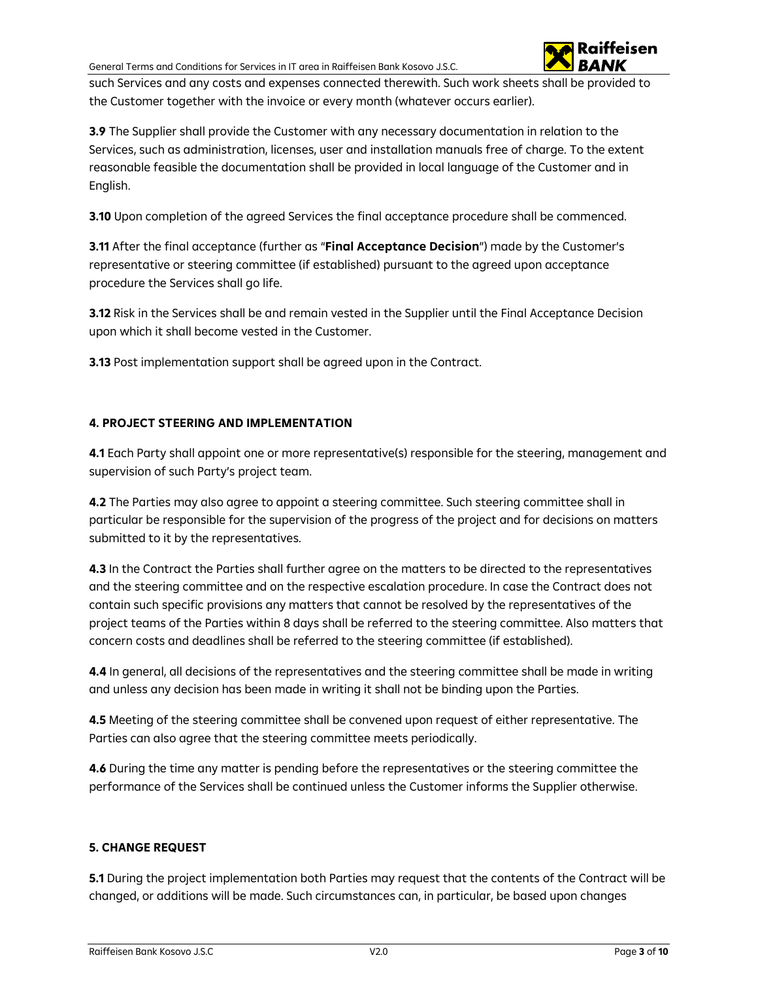

such Services and any costs and expenses connected therewith. Such work sheets shall be provided to the Customer together with the invoice or every month (whatever occurs earlier).

**3.9** The Supplier shall provide the Customer with any necessary documentation in relation to the Services, such as administration, licenses, user and installation manuals free of charge. To the extent reasonable feasible the documentation shall be provided in local language of the Customer and in English.

**3.10** Upon completion of the agreed Services the final acceptance procedure shall be commenced.

**3.11** After the final acceptance (further as "**Final Acceptance Decision**") made by the Customer's representative or steering committee (if established) pursuant to the agreed upon acceptance procedure the Services shall go life.

**3.12** Risk in the Services shall be and remain vested in the Supplier until the Final Acceptance Decision upon which it shall become vested in the Customer.

**3.13** Post implementation support shall be agreed upon in the Contract.

# **4. PROJECT STEERING AND IMPLEMENTATION**

**4.1** Each Party shall appoint one or more representative(s) responsible for the steering, management and supervision of such Party's project team.

**4.2** The Parties may also agree to appoint a steering committee. Such steering committee shall in particular be responsible for the supervision of the progress of the project and for decisions on matters submitted to it by the representatives.

**4.3** In the Contract the Parties shall further agree on the matters to be directed to the representatives and the steering committee and on the respective escalation procedure. In case the Contract does not contain such specific provisions any matters that cannot be resolved by the representatives of the project teams of the Parties within 8 days shall be referred to the steering committee. Also matters that concern costs and deadlines shall be referred to the steering committee (if established).

**4.4** In general, all decisions of the representatives and the steering committee shall be made in writing and unless any decision has been made in writing it shall not be binding upon the Parties.

**4.5** Meeting of the steering committee shall be convened upon request of either representative. The Parties can also agree that the steering committee meets periodically.

**4.6** During the time any matter is pending before the representatives or the steering committee the performance of the Services shall be continued unless the Customer informs the Supplier otherwise.

# **5. CHANGE REQUEST**

**5.1** During the project implementation both Parties may request that the contents of the Contract will be changed, or additions will be made. Such circumstances can, in particular, be based upon changes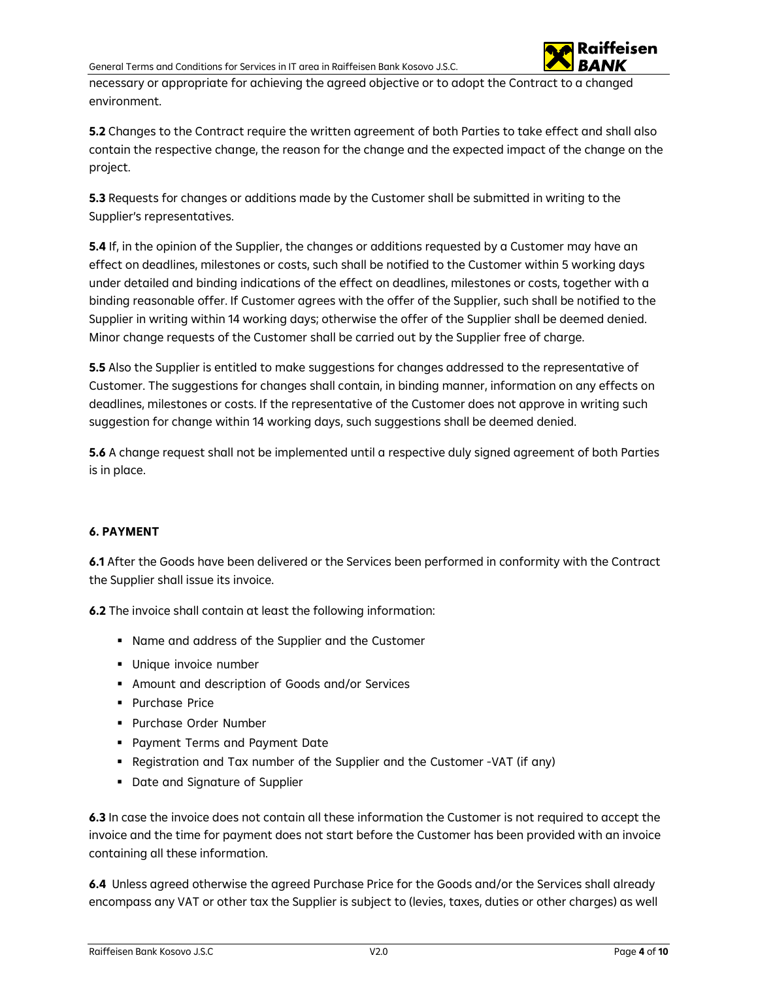

necessary or appropriate for achieving the agreed objective or to adopt the Contract to a changed environment.

**5.2** Changes to the Contract require the written agreement of both Parties to take effect and shall also contain the respective change, the reason for the change and the expected impact of the change on the project.

**5.3** Requests for changes or additions made by the Customer shall be submitted in writing to the Supplier's representatives.

**5.4** If, in the opinion of the Supplier, the changes or additions requested by a Customer may have an effect on deadlines, milestones or costs, such shall be notified to the Customer within 5 working days under detailed and binding indications of the effect on deadlines, milestones or costs, together with a binding reasonable offer. If Customer agrees with the offer of the Supplier, such shall be notified to the Supplier in writing within 14 working days; otherwise the offer of the Supplier shall be deemed denied. Minor change requests of the Customer shall be carried out by the Supplier free of charge.

**5.5** Also the Supplier is entitled to make suggestions for changes addressed to the representative of Customer. The suggestions for changes shall contain, in binding manner, information on any effects on deadlines, milestones or costs. If the representative of the Customer does not approve in writing such suggestion for change within 14 working days, such suggestions shall be deemed denied.

**5.6** A change request shall not be implemented until a respective duly signed agreement of both Parties is in place.

## **6. PAYMENT**

**6.1** After the Goods have been delivered or the Services been performed in conformity with the Contract the Supplier shall issue its invoice.

**6.2** The invoice shall contain at least the following information:

- Name and address of the Supplier and the Customer
- **Unique invoice number**
- Amount and description of Goods and/or Services
- **Purchase Price**
- Purchase Order Number
- **Payment Terms and Payment Date**
- Registration and Tax number of the Supplier and the Customer -VAT (if any)
- Date and Signature of Supplier

**6.3** In case the invoice does not contain all these information the Customer is not required to accept the invoice and the time for payment does not start before the Customer has been provided with an invoice containing all these information.

**6.4** Unless agreed otherwise the agreed Purchase Price for the Goods and/or the Services shall already encompass any VAT or other tax the Supplier is subject to (levies, taxes, duties or other charges) as well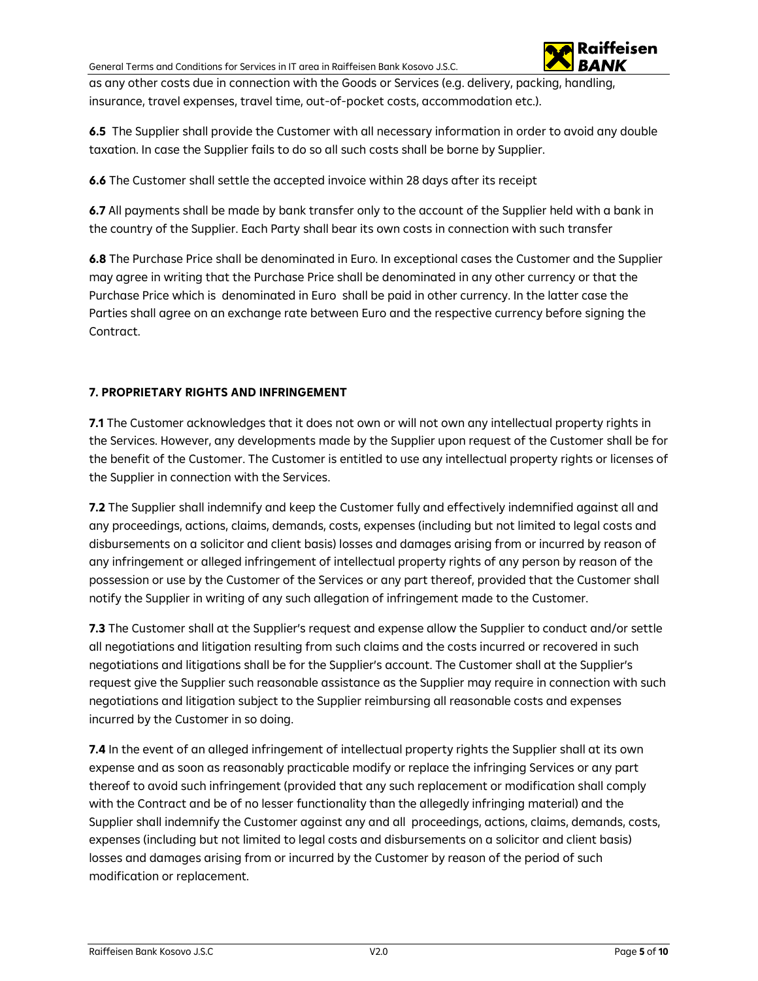

as any other costs due in connection with the Goods or Services (e.g. delivery, packing, handling, insurance, travel expenses, travel time, out-of-pocket costs, accommodation etc.).

**6.5** The Supplier shall provide the Customer with all necessary information in order to avoid any double taxation. In case the Supplier fails to do so all such costs shall be borne by Supplier.

**6.6** The Customer shall settle the accepted invoice within 28 days after its receipt

**6.7** All payments shall be made by bank transfer only to the account of the Supplier held with a bank in the country of the Supplier. Each Party shall bear its own costs in connection with such transfer

**6.8** The Purchase Price shall be denominated in Euro. In exceptional cases the Customer and the Supplier may agree in writing that the Purchase Price shall be denominated in any other currency or that the Purchase Price which is denominated in Euro shall be paid in other currency. In the latter case the Parties shall agree on an exchange rate between Euro and the respective currency before signing the Contract.

# **7. PROPRIETARY RIGHTS AND INFRINGEMENT**

**7.1** The Customer acknowledges that it does not own or will not own any intellectual property rights in the Services. However, any developments made by the Supplier upon request of the Customer shall be for the benefit of the Customer. The Customer is entitled to use any intellectual property rights or licenses of the Supplier in connection with the Services.

**7.2** The Supplier shall indemnify and keep the Customer fully and effectively indemnified against all and any proceedings, actions, claims, demands, costs, expenses (including but not limited to legal costs and disbursements on a solicitor and client basis) losses and damages arising from or incurred by reason of any infringement or alleged infringement of intellectual property rights of any person by reason of the possession or use by the Customer of the Services or any part thereof, provided that the Customer shall notify the Supplier in writing of any such allegation of infringement made to the Customer.

**7.3** The Customer shall at the Supplier's request and expense allow the Supplier to conduct and/or settle all negotiations and litigation resulting from such claims and the costs incurred or recovered in such negotiations and litigations shall be for the Supplier's account. The Customer shall at the Supplier's request give the Supplier such reasonable assistance as the Supplier may require in connection with such negotiations and litigation subject to the Supplier reimbursing all reasonable costs and expenses incurred by the Customer in so doing.

**7.4** In the event of an alleged infringement of intellectual property rights the Supplier shall at its own expense and as soon as reasonably practicable modify or replace the infringing Services or any part thereof to avoid such infringement (provided that any such replacement or modification shall comply with the Contract and be of no lesser functionality than the allegedly infringing material) and the Supplier shall indemnify the Customer against any and all proceedings, actions, claims, demands, costs, expenses (including but not limited to legal costs and disbursements on a solicitor and client basis) losses and damages arising from or incurred by the Customer by reason of the period of such modification or replacement.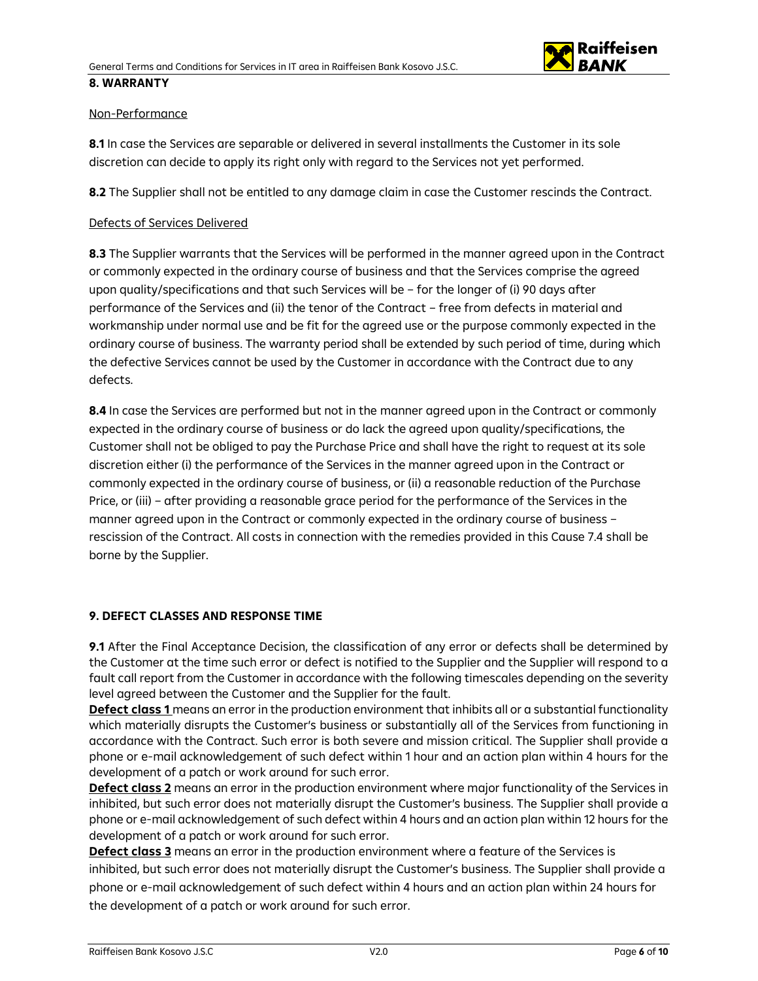

## Non-Performance

**8.1** In case the Services are separable or delivered in several installments the Customer in its sole discretion can decide to apply its right only with regard to the Services not yet performed.

**8.2** The Supplier shall not be entitled to any damage claim in case the Customer rescinds the Contract.

#### Defects of Services Delivered

**8.3** The Supplier warrants that the Services will be performed in the manner agreed upon in the Contract or commonly expected in the ordinary course of business and that the Services comprise the agreed upon quality/specifications and that such Services will be – for the longer of (i) 90 days after performance of the Services and (ii) the tenor of the Contract – free from defects in material and workmanship under normal use and be fit for the agreed use or the purpose commonly expected in the ordinary course of business. The warranty period shall be extended by such period of time, during which the defective Services cannot be used by the Customer in accordance with the Contract due to any defects.

**8.4** In case the Services are performed but not in the manner agreed upon in the Contract or commonly expected in the ordinary course of business or do lack the agreed upon quality/specifications, the Customer shall not be obliged to pay the Purchase Price and shall have the right to request at its sole discretion either (i) the performance of the Services in the manner agreed upon in the Contract or commonly expected in the ordinary course of business, or (ii) a reasonable reduction of the Purchase Price, or (iii) – after providing a reasonable grace period for the performance of the Services in the manner agreed upon in the Contract or commonly expected in the ordinary course of business – rescission of the Contract. All costs in connection with the remedies provided in this Cause 7.4 shall be borne by the Supplier.

#### **9. DEFECT CLASSES AND RESPONSE TIME**

**9.1** After the Final Acceptance Decision, the classification of any error or defects shall be determined by the Customer at the time such error or defect is notified to the Supplier and the Supplier will respond to a fault call report from the Customer in accordance with the following timescales depending on the severity level agreed between the Customer and the Supplier for the fault.

**Defect class 1** means an error in the production environment that inhibits all or a substantial functionality which materially disrupts the Customer's business or substantially all of the Services from functioning in accordance with the Contract. Such error is both severe and mission critical. The Supplier shall provide a phone or e-mail acknowledgement of such defect within 1 hour and an action plan within 4 hours for the development of a patch or work around for such error.

**Defect class 2** means an error in the production environment where major functionality of the Services in inhibited, but such error does not materially disrupt the Customer's business. The Supplier shall provide a phone or e-mail acknowledgement of such defect within 4 hours and an action plan within 12 hours for the development of a patch or work around for such error.

**Defect class 3** means an error in the production environment where a feature of the Services is inhibited, but such error does not materially disrupt the Customer's business. The Supplier shall provide a phone or e-mail acknowledgement of such defect within 4 hours and an action plan within 24 hours for the development of a patch or work around for such error.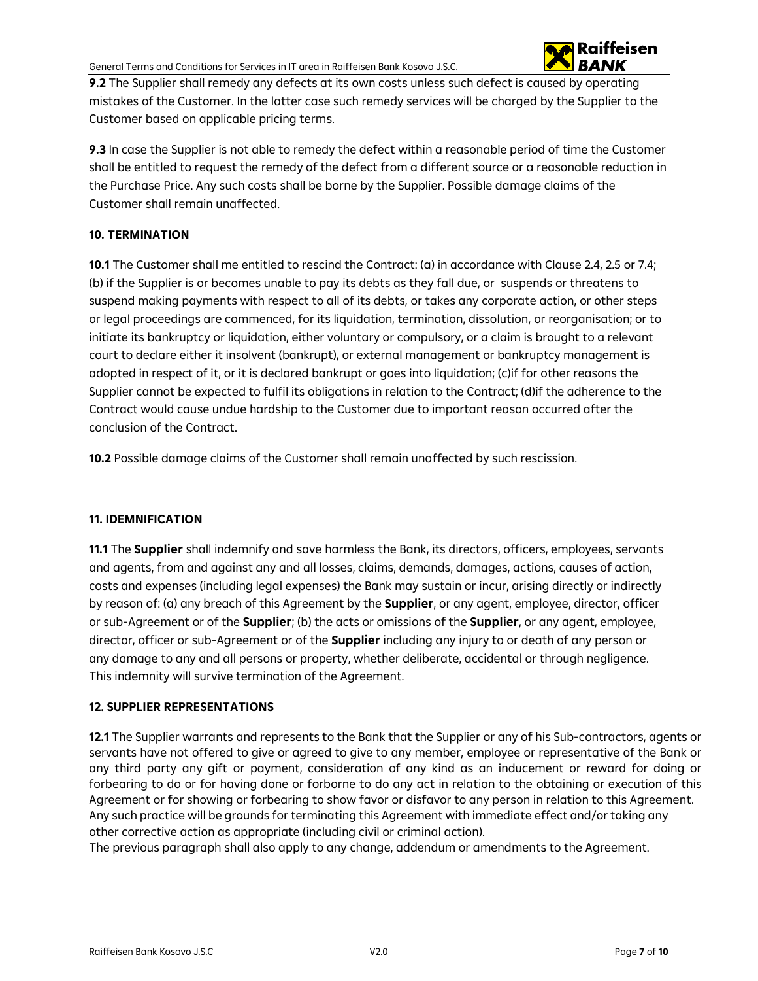

**9.2** The Supplier shall remedy any defects at its own costs unless such defect is caused by operating mistakes of the Customer. In the latter case such remedy services will be charged by the Supplier to the Customer based on applicable pricing terms.

**9.3** In case the Supplier is not able to remedy the defect within a reasonable period of time the Customer shall be entitled to request the remedy of the defect from a different source or a reasonable reduction in the Purchase Price. Any such costs shall be borne by the Supplier. Possible damage claims of the Customer shall remain unaffected.

# **10. TERMINATION**

**10.1** The Customer shall me entitled to rescind the Contract: (a) in accordance with Clause 2.4, 2.5 or 7.4; (b) if the Supplier is or becomes unable to pay its debts as they fall due, or suspends or threatens to suspend making payments with respect to all of its debts, or takes any corporate action, or other steps or legal proceedings are commenced, for its liquidation, termination, dissolution, or reorganisation; or to initiate its bankruptcy or liquidation, either voluntary or compulsory, or a claim is brought to a relevant court to declare either it insolvent (bankrupt), or external management or bankruptcy management is adopted in respect of it, or it is declared bankrupt or goes into liquidation; (c)if for other reasons the Supplier cannot be expected to fulfil its obligations in relation to the Contract; (d)if the adherence to the Contract would cause undue hardship to the Customer due to important reason occurred after the conclusion of the Contract.

**10.2** Possible damage claims of the Customer shall remain unaffected by such rescission.

## **11. IDEMNIFICATION**

**11.1** The **Supplier** shall indemnify and save harmless the Bank, its directors, officers, employees, servants and agents, from and against any and all losses, claims, demands, damages, actions, causes of action, costs and expenses (including legal expenses) the Bank may sustain or incur, arising directly or indirectly by reason of: (a) any breach of this Agreement by the **Supplier**, or any agent, employee, director, officer or sub-Agreement or of the **Supplier**; (b) the acts or omissions of the **Supplier**, or any agent, employee, director, officer or sub-Agreement or of the **Supplier** including any injury to or death of any person or any damage to any and all persons or property, whether deliberate, accidental or through negligence. This indemnity will survive termination of the Agreement.

## **12. SUPPLIER REPRESENTATIONS**

**12.1** The Supplier warrants and represents to the Bank that the Supplier or any of his Sub-contractors, agents or servants have not offered to give or agreed to give to any member, employee or representative of the Bank or any third party any gift or payment, consideration of any kind as an inducement or reward for doing or forbearing to do or for having done or forborne to do any act in relation to the obtaining or execution of this Agreement or for showing or forbearing to show favor or disfavor to any person in relation to this Agreement. Any such practice will be grounds for terminating this Agreement with immediate effect and/or taking any other corrective action as appropriate (including civil or criminal action).

The previous paragraph shall also apply to any change, addendum or amendments to the Agreement.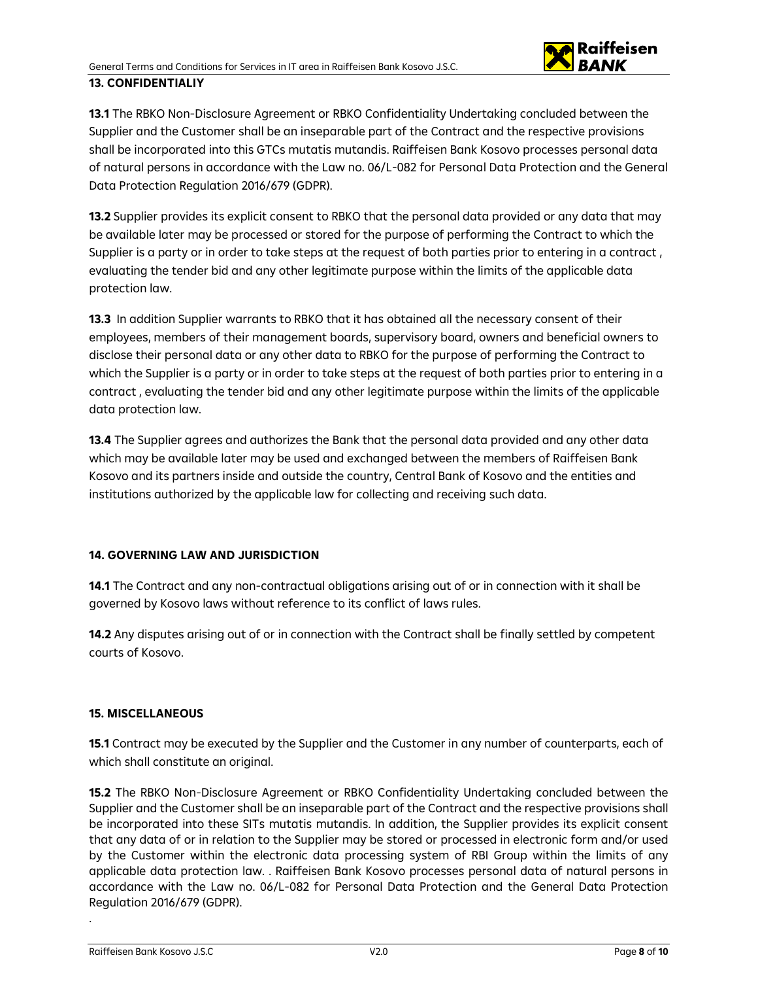

**13.1** The RBKO Non-Disclosure Agreement or RBKO Confidentiality Undertaking concluded between the Supplier and the Customer shall be an inseparable part of the Contract and the respective provisions shall be incorporated into this GTCs mutatis mutandis. Raiffeisen Bank Kosovo processes personal data of natural persons in accordance with the Law no. 06/L-082 for Personal Data Protection and the General Data Protection Regulation 2016/679 (GDPR).

**13.2** Supplier provides its explicit consent to RBKO that the personal data provided or any data that may be available later may be processed or stored for the purpose of performing the Contract to which the Supplier is a party or in order to take steps at the request of both parties prior to entering in a contract , evaluating the tender bid and any other legitimate purpose within the limits of the applicable data protection law.

**13.3** In addition Supplier warrants to RBKO that it has obtained all the necessary consent of their employees, members of their management boards, supervisory board, owners and beneficial owners to disclose their personal data or any other data to RBKO for the purpose of performing the Contract to which the Supplier is a party or in order to take steps at the request of both parties prior to entering in a contract , evaluating the tender bid and any other legitimate purpose within the limits of the applicable data protection law.

**13.4** The Supplier agrees and authorizes the Bank that the personal data provided and any other data which may be available later may be used and exchanged between the members of Raiffeisen Bank Kosovo and its partners inside and outside the country, Central Bank of Kosovo and the entities and institutions authorized by the applicable law for collecting and receiving such data.

## **14. GOVERNING LAW AND JURISDICTION**

**14.1** The Contract and any non-contractual obligations arising out of or in connection with it shall be governed by Kosovo laws without reference to its conflict of laws rules.

**14.2** Any disputes arising out of or in connection with the Contract shall be finally settled by competent courts of Kosovo.

## **15. MISCELLANEOUS**

**15.1** Contract may be executed by the Supplier and the Customer in any number of counterparts, each of which shall constitute an original.

**15.2** The RBKO Non-Disclosure Agreement or RBKO Confidentiality Undertaking concluded between the Supplier and the Customer shall be an inseparable part of the Contract and the respective provisions shall be incorporated into these SITs mutatis mutandis. In addition, the Supplier provides its explicit consent that any data of or in relation to the Supplier may be stored or processed in electronic form and/or used by the Customer within the electronic data processing system of RBI Group within the limits of any applicable data protection law. . Raiffeisen Bank Kosovo processes personal data of natural persons in accordance with the Law no. 06/L-082 for Personal Data Protection and the General Data Protection Regulation 2016/679 (GDPR).

.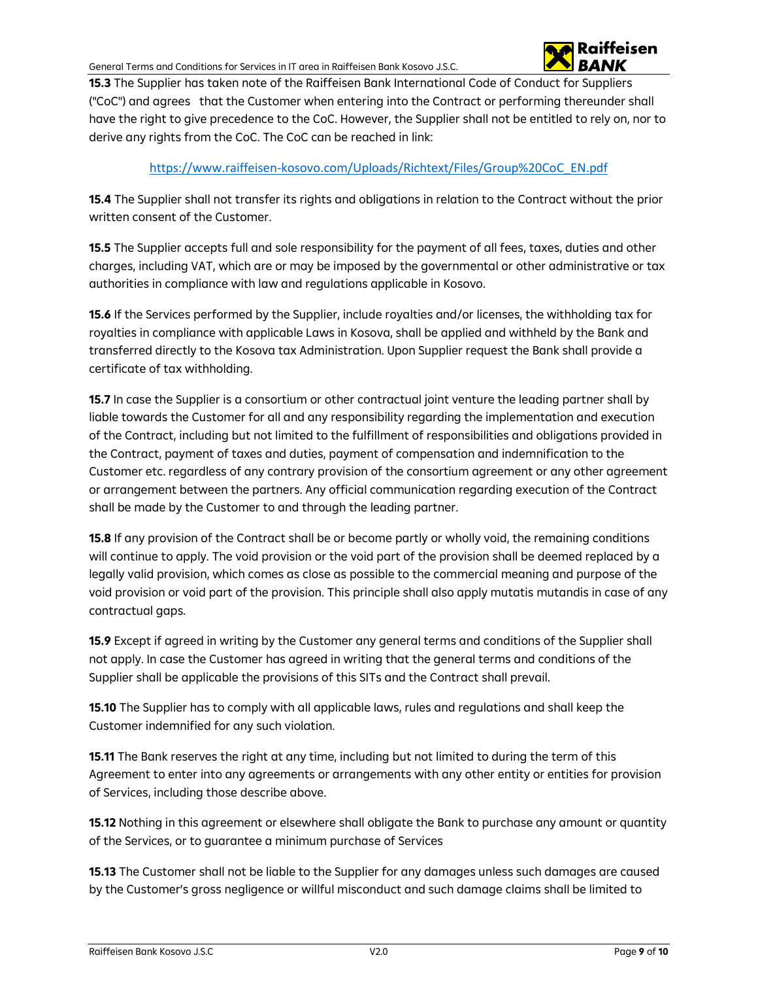

**15.3** The Supplier has taken note of the Raiffeisen Bank International Code of Conduct for Suppliers ("CoC") and agrees that the Customer when entering into the Contract or performing thereunder shall have the right to give precedence to the CoC. However, the Supplier shall not be entitled to rely on, nor to derive any rights from the CoC. The CoC can be reached in link:

# [https://www.raiffeisen-kosovo.com/Uploads/Richtext/Files/Group%20CoC\\_EN.pdf](https://www.raiffeisen-kosovo.com/Uploads/Richtext/Files/Group%20CoC_EN.pdf)

**15.4** The Supplier shall not transfer its rights and obligations in relation to the Contract without the prior written consent of the Customer.

**15.5** The Supplier accepts full and sole responsibility for the payment of all fees, taxes, duties and other charges, including VAT, which are or may be imposed by the governmental or other administrative or tax authorities in compliance with law and regulations applicable in Kosovo.

**15.6** If the Services performed by the Supplier, include royalties and/or licenses, the withholding tax for royalties in compliance with applicable Laws in Kosova, shall be applied and withheld by the Bank and transferred directly to the Kosova tax Administration. Upon Supplier request the Bank shall provide a certificate of tax withholding.

**15.7** In case the Supplier is a consortium or other contractual joint venture the leading partner shall by liable towards the Customer for all and any responsibility regarding the implementation and execution of the Contract, including but not limited to the fulfillment of responsibilities and obligations provided in the Contract, payment of taxes and duties, payment of compensation and indemnification to the Customer etc. regardless of any contrary provision of the consortium agreement or any other agreement or arrangement between the partners. Any official communication regarding execution of the Contract shall be made by the Customer to and through the leading partner.

**15.8** If any provision of the Contract shall be or become partly or wholly void, the remaining conditions will continue to apply. The void provision or the void part of the provision shall be deemed replaced by a legally valid provision, which comes as close as possible to the commercial meaning and purpose of the void provision or void part of the provision. This principle shall also apply mutatis mutandis in case of any contractual gaps.

**15.9** Except if agreed in writing by the Customer any general terms and conditions of the Supplier shall not apply. In case the Customer has agreed in writing that the general terms and conditions of the Supplier shall be applicable the provisions of this SITs and the Contract shall prevail.

**15.10** The Supplier has to comply with all applicable laws, rules and regulations and shall keep the Customer indemnified for any such violation.

**15.11** The Bank reserves the right at any time, including but not limited to during the term of this Agreement to enter into any agreements or arrangements with any other entity or entities for provision of Services, including those describe above.

**15.12** Nothing in this agreement or elsewhere shall obligate the Bank to purchase any amount or quantity of the Services, or to guarantee a minimum purchase of Services

**15.13** The Customer shall not be liable to the Supplier for any damages unless such damages are caused by the Customer's gross negligence or willful misconduct and such damage claims shall be limited to